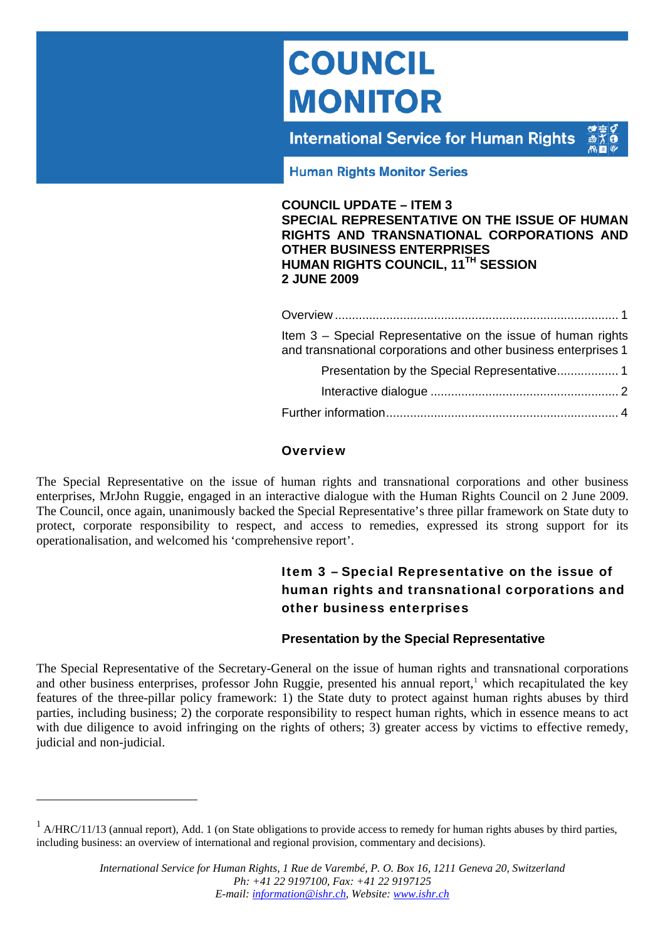# <span id="page-0-0"></span>**COUNCIL MONITOR**

**International Service for Human Rights** 



**Human Rights Monitor Series** 

#### **COUNCIL UPDATE – ITEM 3 SPECIAL REPRESENTATIVE ON THE ISSUE OF HUMAN RIGHTS AND TRANSNATIONAL CORPORATIONS AND OTHER BUSINESS ENTERPRISES HUMAN RIGHTS COUNCIL, 11TH SESSION 2 JUNE 2009**

| Item 3 – Special Representative on the issue of human rights<br>and transnational corporations and other business enterprises 1 |
|---------------------------------------------------------------------------------------------------------------------------------|
|                                                                                                                                 |
|                                                                                                                                 |
|                                                                                                                                 |

## **Overview**

The Special Representative on the issue of human rights and transnational corporations and other business enterprises, MrJohn Ruggie, engaged in an interactive dialogue with the Human Rights Council on 2 June 2009. The Council, once again, unanimously backed the Special Representative's three pillar framework on State duty to protect, corporate responsibility to respect, and access to remedies, expressed its strong support for its operationalisation, and welcomed his 'comprehensive report'.

# Item 3 – Special Representative on the issue of human rights and transnational corporations and other business enterprises

# **Presentation by the Special Representative**

The Special Representative of the Secretary-General on the issue of human rights and transnational corporations and other business enterprises, professor John Ruggie, presented his annual report,<sup>1</sup> which recapitulated the key features of the three-pillar policy framework: 1) the State duty to protect against human rights abuses by third parties, including business; 2) the corporate responsibility to respect human rights, which in essence means to act with due diligence to avoid infringing on the rights of others; 3) greater access by victims to effective remedy, judicial and non-judicial.

<span id="page-0-1"></span> $1$  A/HRC/11/13 (annual report), Add. 1 (on State obligations to provide access to remedy for human rights abuses by third parties, including business: an overview of international and regional provision, commentary and decisions).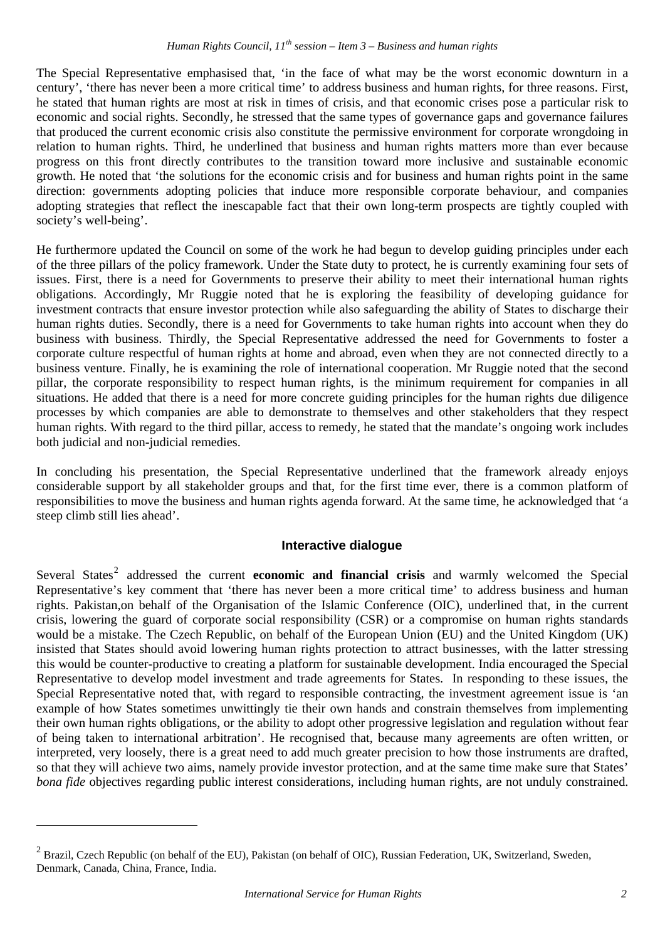## *Human Rights Council, 11th session – Item 3 – Business and human rights*

<span id="page-1-0"></span>The Special Representative emphasised that, 'in the face of what may be the worst economic downturn in a century', 'there has never been a more critical time' to address business and human rights, for three reasons. First, he stated that human rights are most at risk in times of crisis, and that economic crises pose a particular risk to economic and social rights. Secondly, he stressed that the same types of governance gaps and governance failures that produced the current economic crisis also constitute the permissive environment for corporate wrongdoing in relation to human rights. Third, he underlined that business and human rights matters more than ever because progress on this front directly contributes to the transition toward more inclusive and sustainable economic growth. He noted that 'the solutions for the economic crisis and for business and human rights point in the same direction: governments adopting policies that induce more responsible corporate behaviour, and companies adopting strategies that reflect the inescapable fact that their own long-term prospects are tightly coupled with society's well-being'.

He furthermore updated the Council on some of the work he had begun to develop guiding principles under each of the three pillars of the policy framework. Under the State duty to protect, he is currently examining four sets of issues. First, there is a need for Governments to preserve their ability to meet their international human rights obligations. Accordingly, Mr Ruggie noted that he is exploring the feasibility of developing guidance for investment contracts that ensure investor protection while also safeguarding the ability of States to discharge their human rights duties. Secondly, there is a need for Governments to take human rights into account when they do business with business. Thirdly, the Special Representative addressed the need for Governments to foster a corporate culture respectful of human rights at home and abroad, even when they are not connected directly to a business venture. Finally, he is examining the role of international cooperation. Mr Ruggie noted that the second pillar, the corporate responsibility to respect human rights, is the minimum requirement for companies in all situations. He added that there is a need for more concrete guiding principles for the human rights due diligence processes by which companies are able to demonstrate to themselves and other stakeholders that they respect human rights. With regard to the third pillar, access to remedy, he stated that the mandate's ongoing work includes both judicial and non-judicial remedies.

In concluding his presentation, the Special Representative underlined that the framework already enjoys considerable support by all stakeholder groups and that, for the first time ever, there is a common platform of responsibilities to move the business and human rights agenda forward. At the same time, he acknowledged that 'a steep climb still lies ahead'.

#### **Interactive dialogue**

Several States<sup>[2](#page-1-1)</sup> addressed the current **economic and financial crisis** and warmly welcomed the Special Representative's key comment that 'there has never been a more critical time' to address business and human rights. Pakistan,on behalf of the Organisation of the Islamic Conference (OIC), underlined that, in the current crisis, lowering the guard of corporate social responsibility (CSR) or a compromise on human rights standards would be a mistake. The Czech Republic, on behalf of the European Union (EU) and the United Kingdom (UK) insisted that States should avoid lowering human rights protection to attract businesses, with the latter stressing this would be counter-productive to creating a platform for sustainable development. India encouraged the Special Representative to develop model investment and trade agreements for States. In responding to these issues, the Special Representative noted that, with regard to responsible contracting, the investment agreement issue is 'an example of how States sometimes unwittingly tie their own hands and constrain themselves from implementing their own human rights obligations, or the ability to adopt other progressive legislation and regulation without fear of being taken to international arbitration'. He recognised that, because many agreements are often written, or interpreted, very loosely, there is a great need to add much greater precision to how those instruments are drafted, so that they will achieve two aims, namely provide investor protection, and at the same time make sure that States' *bona fide* objectives regarding public interest considerations, including human rights, are not unduly constrained.

<span id="page-1-1"></span> $2$  Brazil, Czech Republic (on behalf of the EU), Pakistan (on behalf of OIC), Russian Federation, UK, Switzerland, Sweden, Denmark, Canada, China, France, India.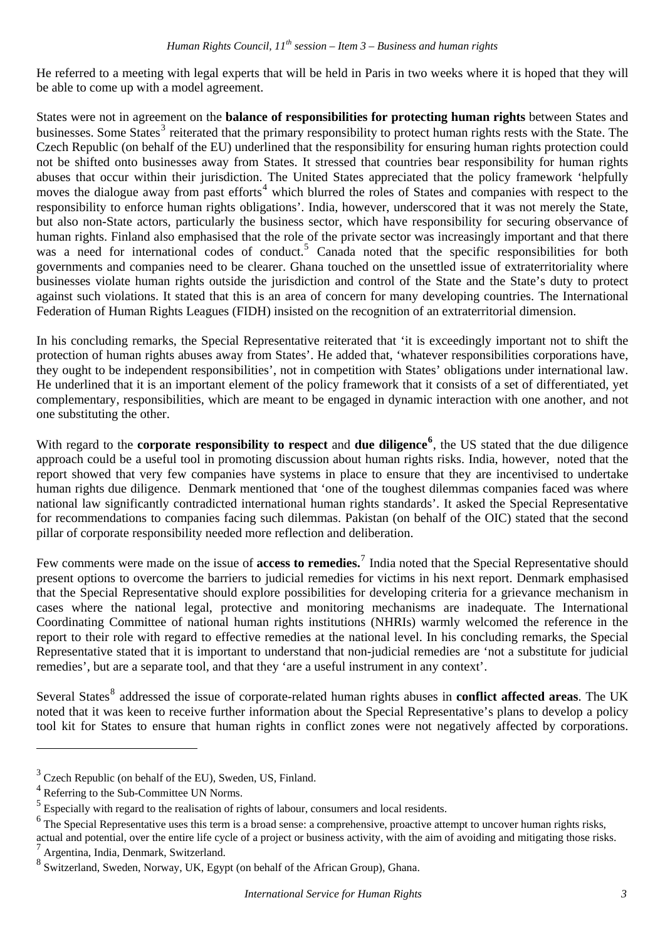He referred to a meeting with legal experts that will be held in Paris in two weeks where it is hoped that they will be able to come up with a model agreement.

States were not in agreement on the **balance of responsibilities for protecting human rights** between States and businesses. Some States<sup>[3](#page-2-0)</sup> reiterated that the primary responsibility to protect human rights rests with the State. The Czech Republic (on behalf of the EU) underlined that the responsibility for ensuring human rights protection could not be shifted onto businesses away from States. It stressed that countries bear responsibility for human rights abuses that occur within their jurisdiction. The United States appreciated that the policy framework 'helpfully moves the dialogue away from past efforts<sup>[4](#page-2-1)</sup> which blurred the roles of States and companies with respect to the responsibility to enforce human rights obligations'. India, however, underscored that it was not merely the State, but also non-State actors, particularly the business sector, which have responsibility for securing observance of human rights. Finland also emphasised that the role of the private sector was increasingly important and that there was a need for international codes of conduct.<sup>[5](#page-2-2)</sup> Canada noted that the specific responsibilities for both governments and companies need to be clearer. Ghana touched on the unsettled issue of extraterritoriality where businesses violate human rights outside the jurisdiction and control of the State and the State's duty to protect against such violations. It stated that this is an area of concern for many developing countries. The International Federation of Human Rights Leagues (FIDH) insisted on the recognition of an extraterritorial dimension.

In his concluding remarks, the Special Representative reiterated that 'it is exceedingly important not to shift the protection of human rights abuses away from States'. He added that, 'whatever responsibilities corporations have, they ought to be independent responsibilities', not in competition with States' obligations under international law. He underlined that it is an important element of the policy framework that it consists of a set of differentiated, yet complementary, responsibilities, which are meant to be engaged in dynamic interaction with one another, and not one substituting the other.

With regard to the **corporate responsibility to respect** and **due diligence**<sup>[6](#page-2-3)</sup>, the US stated that the due diligence approach could be a useful tool in promoting discussion about human rights risks. India, however, noted that the report showed that very few companies have systems in place to ensure that they are incentivised to undertake human rights due diligence. Denmark mentioned that 'one of the toughest dilemmas companies faced was where national law significantly contradicted international human rights standards'. It asked the Special Representative for recommendations to companies facing such dilemmas. Pakistan (on behalf of the OIC) stated that the second pillar of corporate responsibility needed more reflection and deliberation.

Few comments were made on the issue of **access to remedies.**[7](#page-2-4) India noted that the Special Representative should present options to overcome the barriers to judicial remedies for victims in his next report. Denmark emphasised that the Special Representative should explore possibilities for developing criteria for a grievance mechanism in cases where the national legal, protective and monitoring mechanisms are inadequate. The International Coordinating Committee of national human rights institutions (NHRIs) warmly welcomed the reference in the report to their role with regard to effective remedies at the national level. In his concluding remarks, the Special Representative stated that it is important to understand that non-judicial remedies are 'not a substitute for judicial remedies', but are a separate tool, and that they 'are a useful instrument in any context'.

Several States<sup>[8](#page-2-5)</sup> addressed the issue of corporate-related human rights abuses in **conflict affected areas**. The UK noted that it was keen to receive further information about the Special Representative's plans to develop a policy tool kit for States to ensure that human rights in conflict zones were not negatively affected by corporations.

<span id="page-2-0"></span> $3$  Czech Republic (on behalf of the EU), Sweden, US, Finland.

<span id="page-2-1"></span><sup>&</sup>lt;sup>4</sup> Referring to the Sub-Committee UN Norms.

<span id="page-2-2"></span><sup>&</sup>lt;sup>5</sup> Especially with regard to the realisation of rights of labour, consumers and local residents.

<span id="page-2-3"></span> $<sup>6</sup>$  The Special Representative uses this term is a broad sense: a comprehensive, proactive attempt to uncover human rights risks,</sup>

<span id="page-2-4"></span>actual and potential, over the entire life cycle of a project or business activity, with the aim of avoiding and mitigating those risks. 7 Argentina, India, Denmark, Switzerland.

<span id="page-2-5"></span><sup>&</sup>lt;sup>8</sup> Switzerland, Sweden, Norway, UK, Egypt (on behalf of the African Group), Ghana.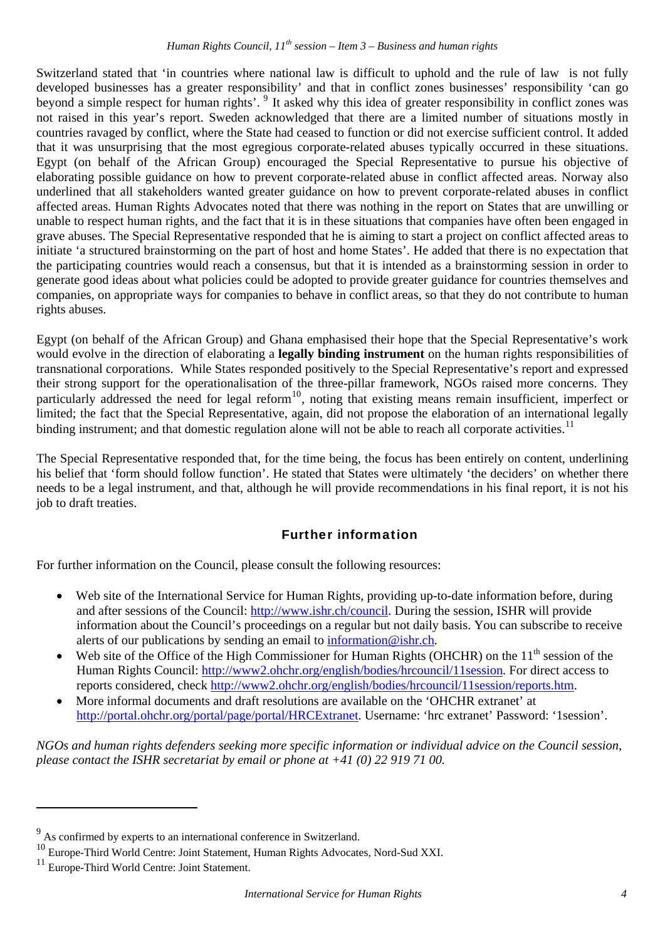<span id="page-3-0"></span>Switzerland stated that 'in countries where national law is difficult to uphold and the rule of law is not fully developed businesses has a greater responsibility' and that in conflict zones businesses' responsibility 'can go beyond a simple respect for human rights'. <sup>[9](#page-3-1)</sup> It asked why this idea of greater responsibility in conflict zones was not raised in this year's report. Sweden acknowledged that there are a limited number of situations mostly in countries ravaged by conflict, where the State had ceased to function or did not exercise sufficient control. It added that it was unsurprising that the most egregious corporate-related abuses typically occurred in these situations. Egypt (on behalf of the African Group) encouraged the Special Representative to pursue his objective of elaborating possible guidance on how to prevent corporate-related abuse in conflict affected areas. Norway also underlined that all stakeholders wanted greater guidance on how to prevent corporate-related abuses in conflict affected areas. Human Rights Advocates noted that there was nothing in the report on States that are unwilling or unable to respect human rights, and the fact that it is in these situations that companies have often been engaged in grave abuses. The Special Representative responded that he is aiming to start a project on conflict affected areas to initiate 'a structured brainstorming on the part of host and home States'. He added that there is no expectation that the participating countries would reach a consensus, but that it is intended as a brainstorming session in order to generate good ideas about what policies could be adopted to provide greater guidance for countries themselves and companies, on appropriate ways for companies to behave in conflict areas, so that they do not contribute to human rights abuses.

Egypt (on behalf of the African Group) and Ghana emphasised their hope that the Special Representative's work would evolve in the direction of elaborating a **legally binding instrument** on the human rights responsibilities of transnational corporations. While States responded positively to the Special Representative's report and expressed their strong support for the operationalisation of the three-pillar framework, NGOs raised more concerns. They particularly addressed the need for legal reform<sup>[10](#page-3-2)</sup>, noting that existing means remain insufficient, imperfect or limited; the fact that the Special Representative, again, did not propose the elaboration of an international legally binding instrument; and that domestic regulation alone will not be able to reach all corporate activities.<sup>[11](#page-3-3)</sup>

The Special Representative responded that, for the time being, the focus has been entirely on content, underlining his belief that 'form should follow function'. He stated that States were ultimately 'the deciders' on whether there needs to be a legal instrument, and that, although he will provide recommendations in his final report, it is not his job to draft treaties.

# Further information

For further information on the Council, please consult the following resources:

- Web site of the International Service for Human Rights, providing up-to-date information before, during and after sessions of the Council: [http://www.ishr.ch/council.](http://www.ishr.ch/council) During the session, ISHR will provide information about the Council's proceedings on a regular but not daily basis. You can subscribe to receive alerts of our publications by sending an email to [information@ishr.ch.](mailto:information@ishr.ch?subject=Subcribe%20to%20Council%20Monitor%20(from%20Alert))
- Web site of the Office of the High Commissioner for Human Rights (OHCHR) on the  $11<sup>th</sup>$  session of the Human Rights Council: <http://www2.ohchr.org/english/bodies/hrcouncil/11session>. For direct access to reports considered, check <http://www2.ohchr.org/english/bodies/hrcouncil/11session/reports.htm>.
- More informal documents and draft resolutions are available on the 'OHCHR extranet' at [http://portal.ohchr.org/portal/page/portal/HRCExtranet.](http://portal.ohchr.org/portal/page/portal/HRCExtranet) Username: 'hrc extranet' Password: '1session'.

*NGOs and human rights defenders seeking more specific information or individual advice on the Council session, please contact the ISHR secretariat by email or phone at +41 (0) 22 919 71 00.* 

<span id="page-3-1"></span><sup>&</sup>lt;sup>9</sup> As confirmed by experts to an international conference in Switzerland.

<span id="page-3-2"></span><sup>&</sup>lt;sup>10</sup> Europe-Third World Centre: Joint Statement, Human Rights Advocates, Nord-Sud XXI.

<span id="page-3-3"></span><sup>&</sup>lt;sup>11</sup> Europe-Third World Centre: Joint Statement.